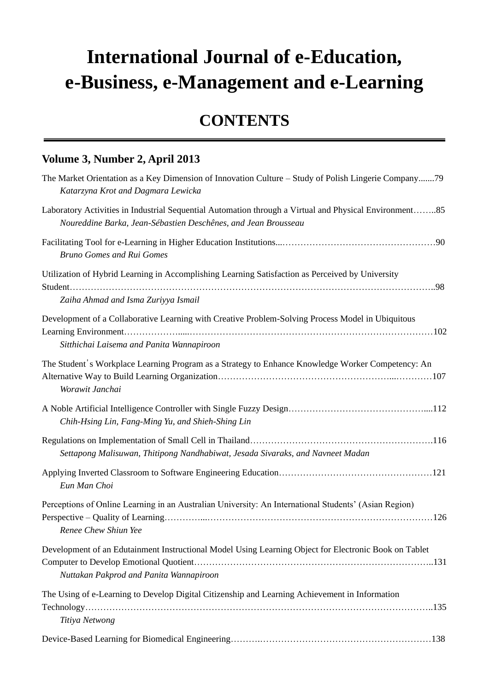## **International Journal of e-Education, e-Business, e-Management and e-Learning**

## **CONTENTS**

## **Volume 3, Number 2, April 2013**

| The Market Orientation as a Key Dimension of Innovation Culture - Study of Polish Lingerie Company79<br>Katarzyna Krot and Dagmara Lewicka                                |
|---------------------------------------------------------------------------------------------------------------------------------------------------------------------------|
| Laboratory Activities in Industrial Sequential Automation through a Virtual and Physical Environment85<br>Noureddine Barka, Jean-S &astien Desch ênes, and Jean Brousseau |
| <b>Bruno Gomes and Rui Gomes</b>                                                                                                                                          |
| Utilization of Hybrid Learning in Accomplishing Learning Satisfaction as Perceived by University<br>Zaiha Ahmad and Isma Zuriyya Ismail                                   |
| Development of a Collaborative Learning with Creative Problem-Solving Process Model in Ubiquitous<br>Sitthichai Laisema and Panita Wannapiroon                            |
| The Student's Workplace Learning Program as a Strategy to Enhance Knowledge Worker Competency: An<br>Worawit Janchai                                                      |
| Chih-Hsing Lin, Fang-Ming Yu, and Shieh-Shing Lin                                                                                                                         |
| Settapong Malisuwan, Thitipong Nandhabiwat, Jesada Sivaraks, and Navneet Madan                                                                                            |
| Eun Man Choi                                                                                                                                                              |
| Perceptions of Online Learning in an Australian University: An International Students' (Asian Region)<br>Renee Chew Shiun Yee                                             |
| Development of an Edutainment Instructional Model Using Learning Object for Electronic Book on Tablet<br>Nuttakan Pakprod and Panita Wannapiroon                          |
| The Using of e-Learning to Develop Digital Citizenship and Learning Achievement in Information<br>Titiya Netwong                                                          |
|                                                                                                                                                                           |